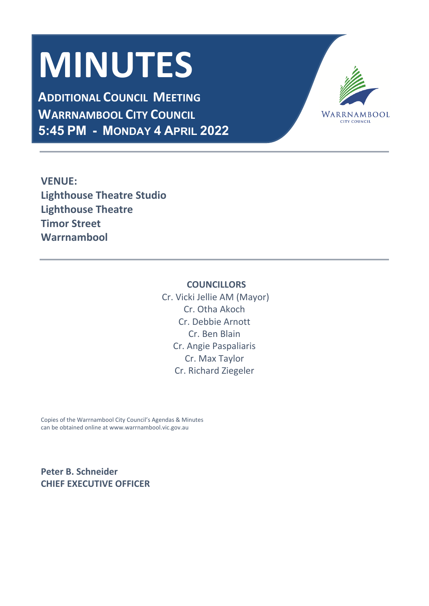# **MINUTES**

**ADDITIONAL COUNCIL MEETING WARRNAMBOOL CITY COUNCIL 5:45 PM - MONDAY 4 APRIL 2022**



**VENUE: Lighthouse Theatre Studio Lighthouse Theatre Timor Street Warrnambool**

# **COUNCILLORS**

 Cr. Vicki Jellie AM (Mayor) Cr. Otha Akoch Cr. Debbie Arnott Cr. Ben Blain Cr. Angie Paspaliaris Cr. Max Taylor Cr. Richard Ziegeler

Copies of the Warrnambool City Council's Agendas & Minutes can be obtained online at www.warrnambool.vic.gov.au

**Peter B. Schneider CHIEF EXECUTIVE OFFICER**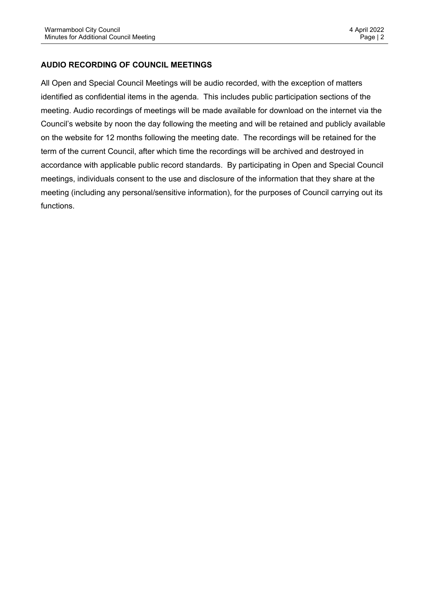# **AUDIO RECORDING OF COUNCIL MEETINGS**

All Open and Special Council Meetings will be audio recorded, with the exception of matters identified as confidential items in the agenda. This includes public participation sections of the meeting. Audio recordings of meetings will be made available for download on the internet via the Council's website by noon the day following the meeting and will be retained and publicly available on the website for 12 months following the meeting date. The recordings will be retained for the term of the current Council, after which time the recordings will be archived and destroyed in accordance with applicable public record standards. By participating in Open and Special Council meetings, individuals consent to the use and disclosure of the information that they share at the meeting (including any personal/sensitive information), for the purposes of Council carrying out its functions.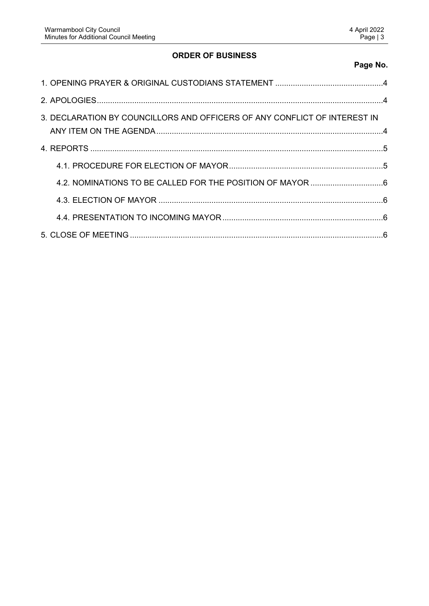# **ORDER OF BUSINESS**

# **Page No.**

| 3. DECLARATION BY COUNCILLORS AND OFFICERS OF ANY CONFLICT OF INTEREST IN |  |
|---------------------------------------------------------------------------|--|
|                                                                           |  |
|                                                                           |  |
|                                                                           |  |
|                                                                           |  |
|                                                                           |  |
|                                                                           |  |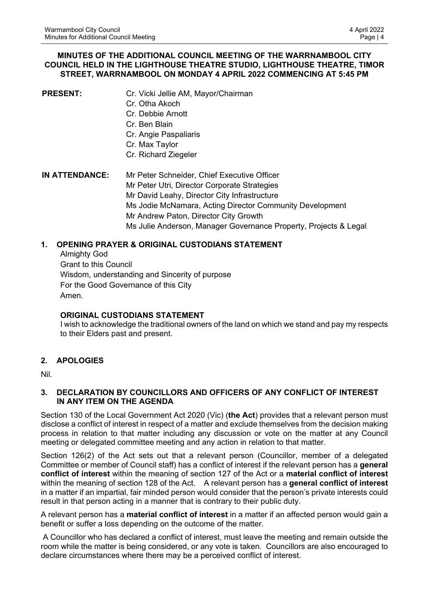#### **MINUTES OF THE ADDITIONAL COUNCIL MEETING OF THE WARRNAMBOOL CITY COUNCIL HELD IN THE LIGHTHOUSE THEATRE STUDIO, LIGHTHOUSE THEATRE, TIMOR STREET, WARRNAMBOOL ON MONDAY 4 APRIL 2022 COMMENCING AT 5:45 PM**

| <b>PRESENT:</b>       | Cr. Vicki Jellie AM, Mayor/Chairman<br>Cr. Otha Akoch<br>Cr. Debbie Arnott<br>Cr. Ben Blain<br>Cr. Angie Paspaliaris<br>Cr. Max Taylor |
|-----------------------|----------------------------------------------------------------------------------------------------------------------------------------|
|                       | Cr. Richard Ziegeler                                                                                                                   |
| <b>IN ATTENDANCE:</b> | Mr Peter Schneider, Chief Executive Officer<br>Mr Peter Utri, Director Corporate Strategies                                            |
|                       | Mr David Leahy, Director City Infrastructure                                                                                           |
|                       | Ms Jodie McNamara, Acting Director Community Development                                                                               |
|                       | Mr Andrew Paton, Director City Growth                                                                                                  |
|                       | Ms Julie Anderson, Manager Governance Property, Projects & Legal                                                                       |

# <span id="page-3-0"></span>**1. OPENING PRAYER & ORIGINAL CUSTODIANS STATEMENT**

Almighty God Grant to this Council Wisdom, understanding and Sincerity of purpose For the Good Governance of this City Amen.

#### **ORIGINAL CUSTODIANS STATEMENT**

I wish to acknowledge the traditional owners of the land on which we stand and pay my respects to their Elders past and present.

# <span id="page-3-1"></span>**2. APOLOGIES**

Nil.

#### <span id="page-3-2"></span>**3. DECLARATION BY COUNCILLORS AND OFFICERS OF ANY CONFLICT OF INTEREST IN ANY ITEM ON THE AGENDA**

Section 130 of the Local Government Act 2020 (Vic) (**the Act**) provides that a relevant person must disclose a conflict of interest in respect of a matter and exclude themselves from the decision making process in relation to that matter including any discussion or vote on the matter at any Council meeting or delegated committee meeting and any action in relation to that matter.

Section 126(2) of the Act sets out that a relevant person (Councillor, member of a delegated Committee or member of Council staff) has a conflict of interest if the relevant person has a **general conflict of interest** within the meaning of section 127 of the Act or a **material conflict of interest**  within the meaning of section 128 of the Act. A relevant person has a **general conflict of interest** in a matter if an impartial, fair minded person would consider that the person's private interests could result in that person acting in a manner that is contrary to their public duty.

A relevant person has a **material conflict of interest** in a matter if an affected person would gain a benefit or suffer a loss depending on the outcome of the matter.

 A Councillor who has declared a conflict of interest, must leave the meeting and remain outside the room while the matter is being considered, or any vote is taken. Councillors are also encouraged to declare circumstances where there may be a perceived conflict of interest.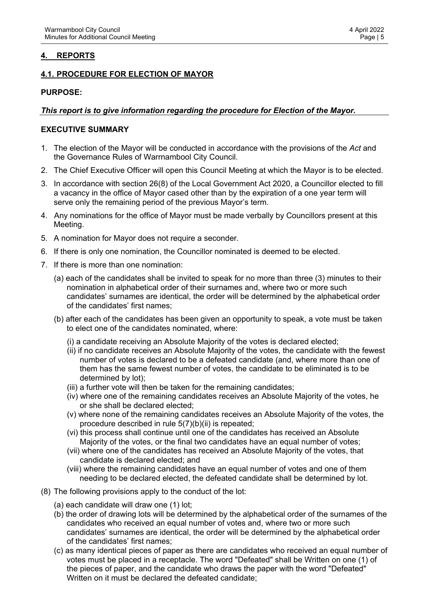# <span id="page-4-0"></span>**4. REPORTS**

# <span id="page-4-1"></span>**4.1. PROCEDURE FOR ELECTION OF MAYOR**

#### **PURPOSE:**

#### *This report is to give information regarding the procedure for Election of the Mayor.*

#### **EXECUTIVE SUMMARY**

- 1. The election of the Mayor will be conducted in accordance with the provisions of the *Act* and the Governance Rules of Warrnambool City Council.
- 2. The Chief Executive Officer will open this Council Meeting at which the Mayor is to be elected.
- 3. In accordance with section 26(8) of the Local Government Act 2020, a Councillor elected to fill a vacancy in the office of Mayor cased other than by the expiration of a one year term will serve only the remaining period of the previous Mayor's term.
- 4. Any nominations for the office of Mayor must be made verbally by Councillors present at this Meeting.
- 5. A nomination for Mayor does not require a seconder.
- 6. If there is only one nomination, the Councillor nominated is deemed to be elected.
- 7. If there is more than one nomination:
	- (a) each of the candidates shall be invited to speak for no more than three (3) minutes to their nomination in alphabetical order of their surnames and, where two or more such candidates' surnames are identical, the order will be determined by the alphabetical order of the candidates' first names;
	- (b) after each of the candidates has been given an opportunity to speak, a vote must be taken to elect one of the candidates nominated, where:
		- (i) a candidate receiving an Absolute Majority of the votes is declared elected;
		- (ii) if no candidate receives an Absolute Majority of the votes, the candidate with the fewest number of votes is declared to be a defeated candidate (and, where more than one of them has the same fewest number of votes, the candidate to be eliminated is to be determined by lot);
		- (iii) a further vote will then be taken for the remaining candidates;
		- (iv) where one of the remaining candidates receives an Absolute Majority of the votes, he or she shall be declared elected;
		- (v) where none of the remaining candidates receives an Absolute Majority of the votes, the procedure described in rule 5(7)(b)(ii) is repeated;
		- (vi) this process shall continue until one of the candidates has received an Absolute Majority of the votes, or the final two candidates have an equal number of votes;
		- (vii) where one of the candidates has received an Absolute Majority of the votes, that candidate is declared elected; and
		- (viii) where the remaining candidates have an equal number of votes and one of them needing to be declared elected, the defeated candidate shall be determined by lot.
- (8) The following provisions apply to the conduct of the lot:
	- (a) each candidate will draw one (1) lot;
	- (b) the order of drawing lots will be determined by the alphabetical order of the surnames of the candidates who received an equal number of votes and, where two or more such candidates' surnames are identical, the order will be determined by the alphabetical order of the candidates' first names;
	- (c) as many identical pieces of paper as there are candidates who received an equal number of votes must be placed in a receptacle. The word "Defeated" shall be Written on one (1) of the pieces of paper, and the candidate who draws the paper with the word "Defeated" Written on it must be declared the defeated candidate;